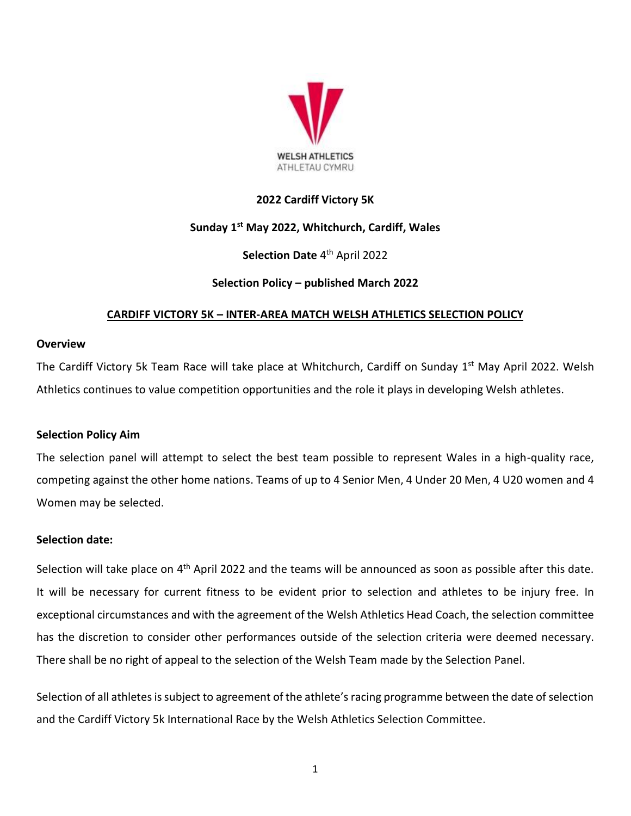

## **2022 Cardiff Victory 5K**

## **Sunday 1 st May 2022, Whitchurch, Cardiff, Wales**

# **Selection Date** 4 th April 2022

## **Selection Policy – published March 2022**

## **CARDIFF VICTORY 5K – INTER-AREA MATCH WELSH ATHLETICS SELECTION POLICY**

#### **Overview**

The Cardiff Victory 5k Team Race will take place at Whitchurch, Cardiff on Sunday 1<sup>st</sup> May April 2022. Welsh Athletics continues to value competition opportunities and the role it plays in developing Welsh athletes.

#### **Selection Policy Aim**

The selection panel will attempt to select the best team possible to represent Wales in a high-quality race, competing against the other home nations. Teams of up to 4 Senior Men, 4 Under 20 Men, 4 U20 women and 4 Women may be selected.

#### **Selection date:**

Selection will take place on 4<sup>th</sup> April 2022 and the teams will be announced as soon as possible after this date. It will be necessary for current fitness to be evident prior to selection and athletes to be injury free. In exceptional circumstances and with the agreement of the Welsh Athletics Head Coach, the selection committee has the discretion to consider other performances outside of the selection criteria were deemed necessary. There shall be no right of appeal to the selection of the Welsh Team made by the Selection Panel.

Selection of all athletes is subject to agreement of the athlete's racing programme between the date of selection and the Cardiff Victory 5k International Race by the Welsh Athletics Selection Committee.

1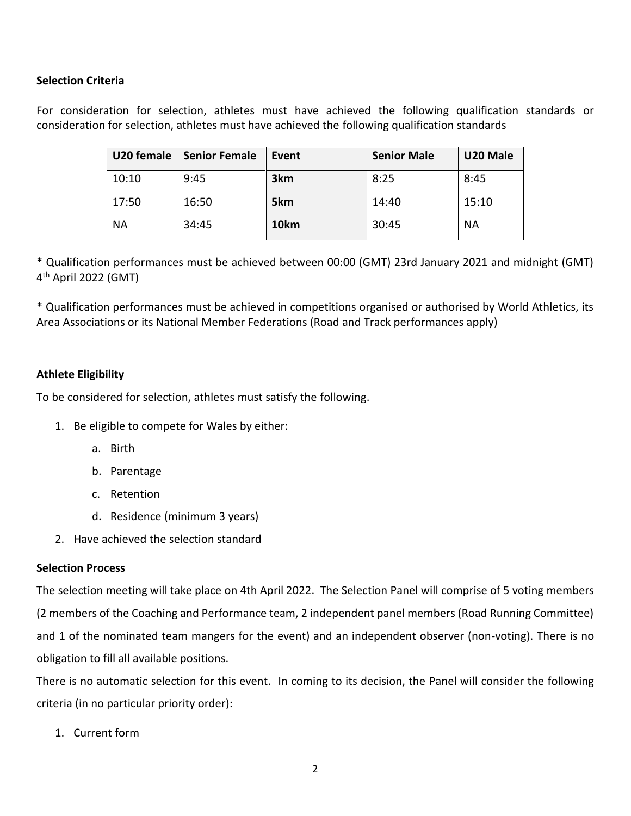## **Selection Criteria**

For consideration for selection, athletes must have achieved the following qualification standards or consideration for selection, athletes must have achieved the following qualification standards

| U20 female | <b>Senior Female</b> | Event            | <b>Senior Male</b> | U20 Male |
|------------|----------------------|------------------|--------------------|----------|
| 10:10      | 9:45                 | 3 <sub>km</sub>  | 8:25               | 8:45     |
| 17:50      | 16:50                | 5km              | 14:40              | 15:10    |
| <b>NA</b>  | 34:45                | 10 <sub>km</sub> | 30:45              | ΝA       |

\* Qualification performances must be achieved between 00:00 (GMT) 23rd January 2021 and midnight (GMT) 4<sup>th</sup> April 2022 (GMT)

\* Qualification performances must be achieved in competitions organised or authorised by World Athletics, its Area Associations or its National Member Federations (Road and Track performances apply)

## **Athlete Eligibility**

To be considered for selection, athletes must satisfy the following.

- 1. Be eligible to compete for Wales by either:
	- a. Birth
	- b. Parentage
	- c. Retention
	- d. Residence (minimum 3 years)
- 2. Have achieved the selection standard

## **Selection Process**

The selection meeting will take place on 4th April 2022. The Selection Panel will comprise of 5 voting members (2 members of the Coaching and Performance team, 2 independent panel members (Road Running Committee) and 1 of the nominated team mangers for the event) and an independent observer (non-voting). There is no obligation to fill all available positions.

There is no automatic selection for this event. In coming to its decision, the Panel will consider the following criteria (in no particular priority order):

1. Current form